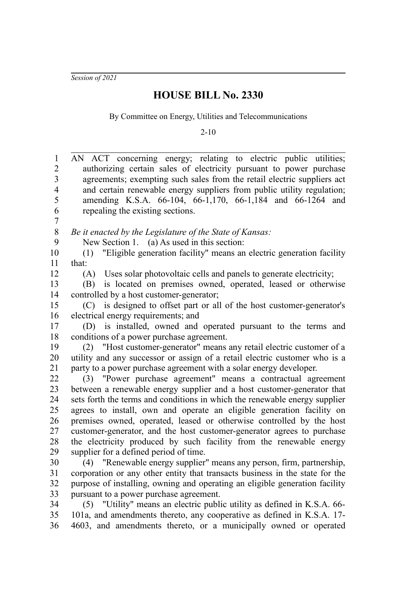*Session of 2021*

## **HOUSE BILL No. 2330**

By Committee on Energy, Utilities and Telecommunications

2-10

| $\mathbf{1}$            | AN ACT concerning energy; relating to electric public utilities;             |
|-------------------------|------------------------------------------------------------------------------|
| $\overline{2}$          | authorizing certain sales of electricity pursuant to power purchase          |
| $\overline{\mathbf{3}}$ | agreements; exempting such sales from the retail electric suppliers act      |
| $\overline{4}$          | and certain renewable energy suppliers from public utility regulation;       |
| 5                       | amending K.S.A. 66-104, 66-1,170, 66-1,184 and 66-1264 and                   |
| 6                       | repealing the existing sections.                                             |
| $\boldsymbol{7}$        |                                                                              |
| 8                       | Be it enacted by the Legislature of the State of Kansas:                     |
| 9                       | New Section 1. (a) As used in this section:                                  |
| 10                      | "Eligible generation facility" means an electric generation facility<br>(1)  |
| 11                      | that:                                                                        |
| 12                      | Uses solar photovoltaic cells and panels to generate electricity;<br>(A)     |
| 13                      | is located on premises owned, operated, leased or otherwise<br>(B)           |
| 14                      | controlled by a host customer-generator;                                     |
| 15                      | (C) is designed to offset part or all of the host customer-generator's       |
| 16                      | electrical energy requirements; and                                          |
| 17                      | (D) is installed, owned and operated pursuant to the terms and               |
| 18                      | conditions of a power purchase agreement.                                    |
| 19                      | (2) "Host customer-generator" means any retail electric customer of a        |
| 20                      | utility and any successor or assign of a retail electric customer who is a   |
| 21                      | party to a power purchase agreement with a solar energy developer.           |
| 22                      | (3) "Power purchase agreement" means a contractual agreement                 |
| 23                      | between a renewable energy supplier and a host customer-generator that       |
| 24                      | sets forth the terms and conditions in which the renewable energy supplier   |
| 25                      | agrees to install, own and operate an eligible generation facility on        |
| 26                      | premises owned, operated, leased or otherwise controlled by the host         |
| 27                      | customer-generator, and the host customer-generator agrees to purchase       |
| 28                      | the electricity produced by such facility from the renewable energy          |
| 29                      | supplier for a defined period of time.                                       |
| 30                      | (4) "Renewable energy supplier" means any person, firm, partnership,         |
| 31                      | corporation or any other entity that transacts business in the state for the |
| 32                      | purpose of installing, owning and operating an eligible generation facility  |
| 33                      | pursuant to a power purchase agreement.                                      |
| 34                      | (5) "Utility" means an electric public utility as defined in K.S.A. 66-      |
| 35                      | 101a, and amendments thereto, any cooperative as defined in K.S.A. 17-       |
| 36                      | 4603, and amendments thereto, or a municipally owned or operated             |
|                         |                                                                              |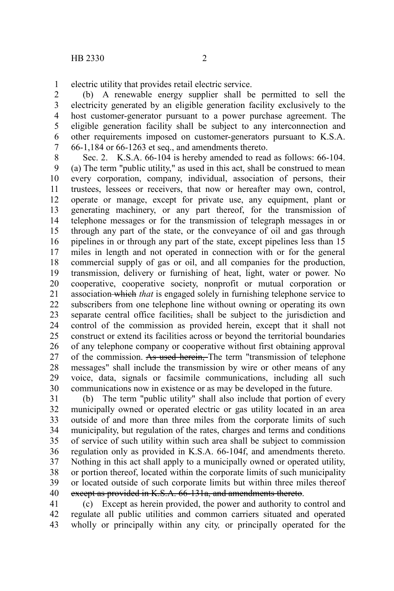electric utility that provides retail electric service. 1

(b) A renewable energy supplier shall be permitted to sell the electricity generated by an eligible generation facility exclusively to the host customer-generator pursuant to a power purchase agreement. The eligible generation facility shall be subject to any interconnection and other requirements imposed on customer-generators pursuant to K.S.A. 66-1,184 or 66-1263 et seq., and amendments thereto. 2 3 4 5 6 7

Sec. 2. K.S.A. 66-104 is hereby amended to read as follows: 66-104. (a) The term "public utility," as used in this act, shall be construed to mean every corporation, company, individual, association of persons, their trustees, lessees or receivers, that now or hereafter may own, control, operate or manage, except for private use, any equipment, plant or generating machinery, or any part thereof, for the transmission of telephone messages or for the transmission of telegraph messages in or through any part of the state, or the conveyance of oil and gas through pipelines in or through any part of the state, except pipelines less than 15 miles in length and not operated in connection with or for the general commercial supply of gas or oil, and all companies for the production, transmission, delivery or furnishing of heat, light, water or power. No cooperative, cooperative society, nonprofit or mutual corporation or association which *that* is engaged solely in furnishing telephone service to subscribers from one telephone line without owning or operating its own separate central office facilities, shall be subject to the jurisdiction and control of the commission as provided herein, except that it shall not construct or extend its facilities across or beyond the territorial boundaries of any telephone company or cooperative without first obtaining approval of the commission. As used herein, The term "transmission of telephone messages" shall include the transmission by wire or other means of any voice, data, signals or facsimile communications, including all such communications now in existence or as may be developed in the future. 8 9 10 11 12 13 14 15 16 17 18 19 20 21 22 23 24 25 26 27 28 29 30

(b) The term "public utility" shall also include that portion of every municipally owned or operated electric or gas utility located in an area outside of and more than three miles from the corporate limits of such municipality, but regulation of the rates, charges and terms and conditions of service of such utility within such area shall be subject to commission regulation only as provided in K.S.A. 66-104f, and amendments thereto. Nothing in this act shall apply to a municipally owned or operated utility, or portion thereof, located within the corporate limits of such municipality or located outside of such corporate limits but within three miles thereof except as provided in K.S.A. 66-131a, and amendments thereto. 31 32 33 34 35 36 37 38 39 40

(c) Except as herein provided, the power and authority to control and regulate all public utilities and common carriers situated and operated wholly or principally within any city*,* or principally operated for the 41 42 43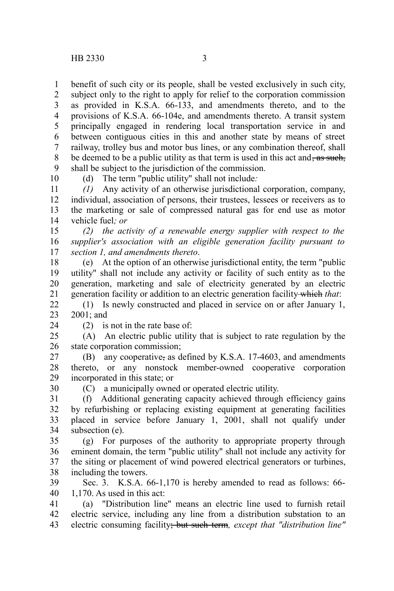benefit of such city or its people, shall be vested exclusively in such city, 1

subject only to the right to apply for relief to the corporation commission as provided in K.S.A. 66-133, and amendments thereto, and to the provisions of K.S.A. 66-104e, and amendments thereto. A transit system principally engaged in rendering local transportation service in and between contiguous cities in this and another state by means of street railway, trolley bus and motor bus lines, or any combination thereof, shall be deemed to be a public utility as that term is used in this act and,  $\frac{1}{\sqrt{2}}$  as such, shall be subject to the jurisdiction of the commission. 2 3 4 5 6 7 8 9

10

(d) The term "public utility" shall not include*:*

*(1)* Any activity of an otherwise jurisdictional corporation, company, individual, association of persons, their trustees, lessees or receivers as to the marketing or sale of compressed natural gas for end use as motor vehicle fuel*; or* 11 12 13 14

*(2) the activity of a renewable energy supplier with respect to the supplier's association with an eligible generation facility pursuant to section 1, and amendments thereto*. 15 16 17

(e) At the option of an otherwise jurisdictional entity, the term "public utility" shall not include any activity or facility of such entity as to the generation, marketing and sale of electricity generated by an electric generation facility or addition to an electric generation facility which *that*: 18 19 20 21

(1) Is newly constructed and placed in service on or after January 1, 2001; and 22 23

24

30

(2) is not in the rate base of:

(A) An electric public utility that is subject to rate regulation by the state corporation commission; 25 26

(B) any cooperative, as defined by K.S.A. 17-4603, and amendments thereto, or any nonstock member-owned cooperative corporation incorporated in this state; or 27 28 29

(C) a municipally owned or operated electric utility.

(f) Additional generating capacity achieved through efficiency gains by refurbishing or replacing existing equipment at generating facilities placed in service before January 1, 2001, shall not qualify under subsection (e). 31 32 33 34

(g) For purposes of the authority to appropriate property through eminent domain, the term "public utility" shall not include any activity for the siting or placement of wind powered electrical generators or turbines, including the towers. 35 36 37 38

Sec. 3. K.S.A. 66-1,170 is hereby amended to read as follows: 66-1,170. As used in this act: 39 40

(a) "Distribution line" means an electric line used to furnish retail electric service, including any line from a distribution substation to an electric consuming facility; but such term*, except that "distribution line"* 41 42 43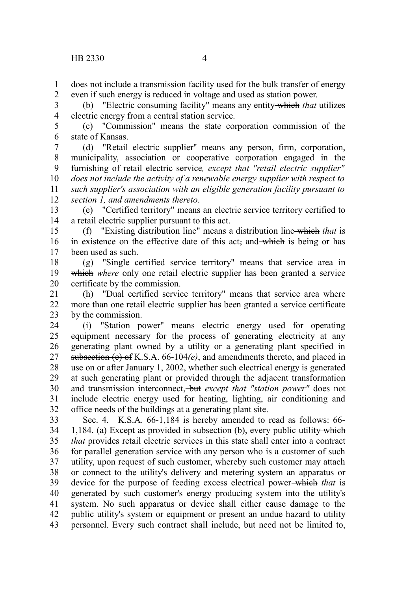does not include a transmission facility used for the bulk transfer of energy even if such energy is reduced in voltage and used as station power. 1 2

(b) "Electric consuming facility" means any entity which *that* utilizes electric energy from a central station service. 3 4

(c) "Commission" means the state corporation commission of the state of Kansas. 5 6

(d) "Retail electric supplier" means any person, firm, corporation, municipality, association or cooperative corporation engaged in the furnishing of retail electric service*, except that "retail electric supplier" does not include the activity of a renewable energy supplier with respect to such supplier's association with an eligible generation facility pursuant to section 1, and amendments thereto*. 7 8 9 10 11 12

(e) "Certified territory" means an electric service territory certified to a retail electric supplier pursuant to this act. 13 14

(f) "Existing distribution line" means a distribution line which *that* is in existence on the effective date of this act, and which is being or has been used as such. 15 16 17

(g) "Single certified service territory" means that service area $-\dot{m}$ which where only one retail electric supplier has been granted a service certificate by the commission. 18 19 20

(h) "Dual certified service territory" means that service area where more than one retail electric supplier has been granted a service certificate by the commission. 21 22 23

(i) "Station power" means electric energy used for operating equipment necessary for the process of generating electricity at any generating plant owned by a utility or a generating plant specified in subsection (e) of K.S.A. 66-104*(e)*, and amendments thereto, and placed in use on or after January 1, 2002, whether such electrical energy is generated at such generating plant or provided through the adjacent transformation and transmission interconnect, but *except that "station power"* does not include electric energy used for heating, lighting, air conditioning and office needs of the buildings at a generating plant site. 24 25 26 27 28 29 30 31 32

Sec. 4. K.S.A. 66-1,184 is hereby amended to read as follows: 66- 1,184. (a) Except as provided in subsection (b), every public utility which *that* provides retail electric services in this state shall enter into a contract for parallel generation service with any person who is a customer of such utility, upon request of such customer, whereby such customer may attach or connect to the utility's delivery and metering system an apparatus or device for the purpose of feeding excess electrical power which *that* is generated by such customer's energy producing system into the utility's system. No such apparatus or device shall either cause damage to the public utility's system or equipment or present an undue hazard to utility personnel. Every such contract shall include, but need not be limited to, 33 34 35 36 37 38 39 40 41 42 43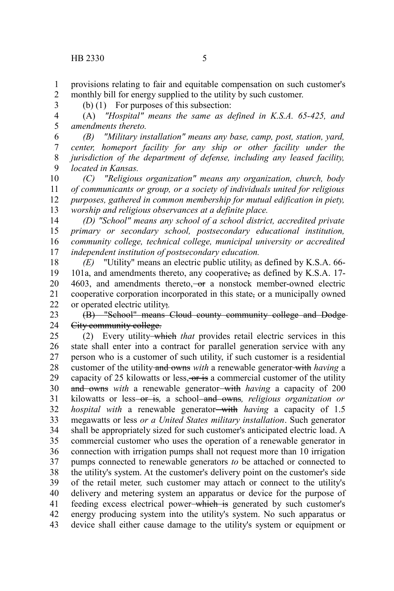2 3

1

(b) (1) For purposes of this subsection:

(A) *"Hospital" means the same as defined in K.S.A. 65-425, and amendments thereto.* 4 5

*(B) "Military installation" means any base, camp, post, station, yard, center, homeport facility for any ship or other facility under the jurisdiction of the department of defense, including any leased facility, located in Kansas.* 6 7 8 9

*(C) "Religious organization" means any organization, church, body of communicants or group, or a society of individuals united for religious purposes, gathered in common membership for mutual edification in piety, worship and religious observances at a definite place.* 10 11 12 13

*(D) "School" means any school of a school district, accredited private primary or secondary school, postsecondary educational institution, community college, technical college, municipal university or accredited independent institution of postsecondary education.* 14 15 16 17

*(E)* "Utility" means an electric public utility, as defined by K.S.A. 66- 101a, and amendments thereto, any cooperative, as defined by K.S.A. 17- 4603, and amendments thereto, $-\sigma$  a nonstock member-owned electric cooperative corporation incorporated in this state, or a municipally owned or operated electric utility;*.* 18 19 20 21 22

(B) "School" means Cloud county community college and Dodge City community college. 23 24

(2) Every utility which *that* provides retail electric services in this state shall enter into a contract for parallel generation service with any person who is a customer of such utility, if such customer is a residential customer of the utility and owns *with* a renewable generator with *having* a capacity of 25 kilowatts or less,  $\overline{or}$  is a commercial customer of the utility and owns *with* a renewable generator—with *having* a capacity of 200 kilowatts or less<del> or is</del>, a school<del> and owns</del>, *religious organization or hospital with* a renewable generator-with *having* a capacity of 1.5 megawatts or less *or a United States military installation*. Such generator shall be appropriately sized for such customer's anticipated electric load. A commercial customer who uses the operation of a renewable generator in connection with irrigation pumps shall not request more than 10 irrigation pumps connected to renewable generators *to* be attached or connected to the utility's system. At the customer's delivery point on the customer's side of the retail meter*,* such customer may attach or connect to the utility's delivery and metering system an apparatus or device for the purpose of feeding excess electrical power which is generated by such customer's energy producing system into the utility's system. No such apparatus or device shall either cause damage to the utility's system or equipment or 25 26 27 28 29 30 31 32 33 34 35 36 37 38 39 40 41 42 43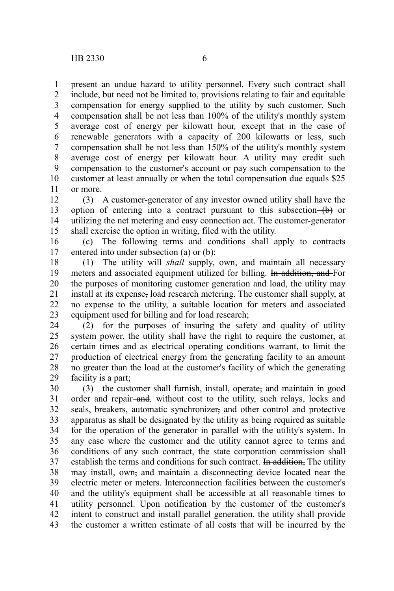present an undue hazard to utility personnel. Every such contract shall include, but need not be limited to, provisions relating to fair and equitable compensation for energy supplied to the utility by such customer. Such compensation shall be not less than 100% of the utility's monthly system average cost of energy per kilowatt hour*,* except that in the case of renewable generators with a capacity of 200 kilowatts or less, such compensation shall be not less than 150% of the utility's monthly system average cost of energy per kilowatt hour. A utility may credit such compensation to the customer's account or pay such compensation to the customer at least annually or when the total compensation due equals \$25 or more. 1 2 3 4 5 6 7 8 9 10 11

(3) A customer-generator of any investor owned utility shall have the option of entering into a contract pursuant to this subsection  $(b)$  or utilizing the net metering and easy connection act. The customer-generator shall exercise the option in writing, filed with the utility. 12 13 14 15

(c) The following terms and conditions shall apply to contracts entered into under subsection (a) or (b): 16 17

(1) The utility-will shall supply, own, and maintain all necessary meters and associated equipment utilized for billing. In addition, and For the purposes of monitoring customer generation and load, the utility may install at its expense, load research metering. The customer shall supply, at no expense to the utility, a suitable location for meters and associated equipment used for billing and for load research; 18 19 20 21 22 23

(2) for the purposes of insuring the safety and quality of utility system power, the utility shall have the right to require the customer, at certain times and as electrical operating conditions warrant, to limit the production of electrical energy from the generating facility to an amount no greater than the load at the customer's facility of which the generating facility is a part; 24 25 26 27 28 29

(3) the customer shall furnish, install, operate, and maintain in good order and repair-and, without cost to the utility, such relays, locks and seals, breakers, automatic synchronizer, and other control and protective apparatus as shall be designated by the utility as being required as suitable for the operation of the generator in parallel with the utility's system. In any case where the customer and the utility cannot agree to terms and conditions of any such contract, the state corporation commission shall establish the terms and conditions for such contract. In addition, The utility may install, own, and maintain a disconnecting device located near the electric meter or meters. Interconnection facilities between the customer's and the utility's equipment shall be accessible at all reasonable times to utility personnel. Upon notification by the customer of the customer's intent to construct and install parallel generation, the utility shall provide the customer a written estimate of all costs that will be incurred by the 30 31 32 33 34 35 36 37 38 39 40 41 42 43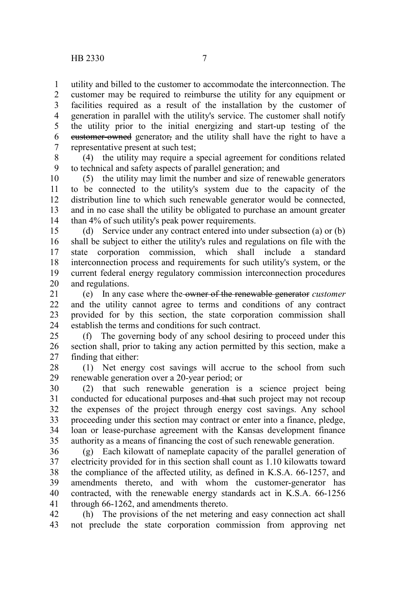1

5

utility and billed to the customer to accommodate the interconnection. The customer may be required to reimburse the utility for any equipment or facilities required as a result of the installation by the customer of generation in parallel with the utility's service. The customer shall notify the utility prior to the initial energizing and start-up testing of the customer-owned generator, and the utility shall have the right to have a representative present at such test; 2 3 4 6 7

(4) the utility may require a special agreement for conditions related to technical and safety aspects of parallel generation; and 8 9

(5) the utility may limit the number and size of renewable generators to be connected to the utility's system due to the capacity of the distribution line to which such renewable generator would be connected, and in no case shall the utility be obligated to purchase an amount greater than 4% of such utility's peak power requirements. 10 11 12 13 14

(d) Service under any contract entered into under subsection (a) or (b) shall be subject to either the utility's rules and regulations on file with the state corporation commission, which shall include a standard interconnection process and requirements for such utility's system, or the current federal energy regulatory commission interconnection procedures and regulations. 15 16 17 18 19 20

(e) In any case where the owner of the renewable generator *customer* and the utility cannot agree to terms and conditions of any contract provided for by this section, the state corporation commission shall establish the terms and conditions for such contract. 21 22 23 24

(f) The governing body of any school desiring to proceed under this section shall, prior to taking any action permitted by this section, make a finding that either: 25 26 27

(1) Net energy cost savings will accrue to the school from such renewable generation over a 20-year period; or 28 29

(2) that such renewable generation is a science project being conducted for educational purposes and that such project may not recoup the expenses of the project through energy cost savings. Any school proceeding under this section may contract or enter into a finance, pledge, loan or lease-purchase agreement with the Kansas development finance authority as a means of financing the cost of such renewable generation. 30 31 32 33 34 35

(g) Each kilowatt of nameplate capacity of the parallel generation of electricity provided for in this section shall count as 1.10 kilowatts toward the compliance of the affected utility, as defined in K.S.A. 66-1257, and amendments thereto, and with whom the customer-generator has contracted, with the renewable energy standards act in K.S.A. 66-1256 through 66-1262, and amendments thereto. 36 37 38 39 40 41

(h) The provisions of the net metering and easy connection act shall not preclude the state corporation commission from approving net 42 43